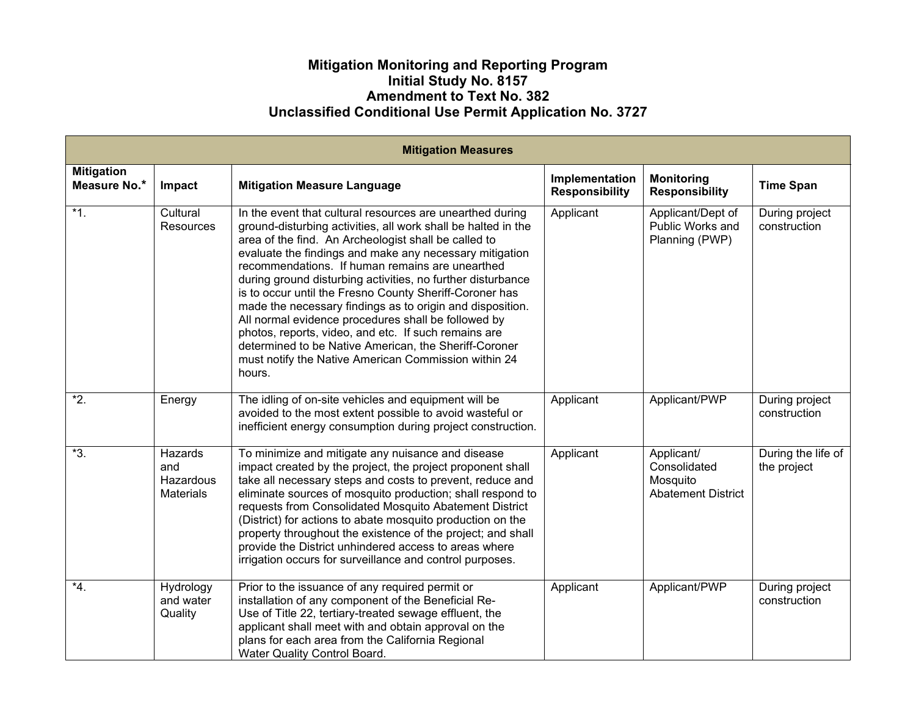## **Mitigation Monitoring and Reporting Program Initial Study No. 8157 Amendment to Text No. 382 Unclassified Conditional Use Permit Application No. 3727**

| <b>Mitigation Measures</b>        |                                                 |                                                                                                                                                                                                                                                                                                                                                                                                                                                                                                                                                                                                                                                                                                                                   |                                         |                                                                     |                                   |  |  |  |  |
|-----------------------------------|-------------------------------------------------|-----------------------------------------------------------------------------------------------------------------------------------------------------------------------------------------------------------------------------------------------------------------------------------------------------------------------------------------------------------------------------------------------------------------------------------------------------------------------------------------------------------------------------------------------------------------------------------------------------------------------------------------------------------------------------------------------------------------------------------|-----------------------------------------|---------------------------------------------------------------------|-----------------------------------|--|--|--|--|
| <b>Mitigation</b><br>Measure No.* | Impact                                          | <b>Mitigation Measure Language</b>                                                                                                                                                                                                                                                                                                                                                                                                                                                                                                                                                                                                                                                                                                | Implementation<br><b>Responsibility</b> | <b>Monitoring</b><br><b>Responsibility</b>                          | <b>Time Span</b>                  |  |  |  |  |
| $*1.$                             | Cultural<br><b>Resources</b>                    | In the event that cultural resources are unearthed during<br>ground-disturbing activities, all work shall be halted in the<br>area of the find. An Archeologist shall be called to<br>evaluate the findings and make any necessary mitigation<br>recommendations. If human remains are unearthed<br>during ground disturbing activities, no further disturbance<br>is to occur until the Fresno County Sheriff-Coroner has<br>made the necessary findings as to origin and disposition.<br>All normal evidence procedures shall be followed by<br>photos, reports, video, and etc. If such remains are<br>determined to be Native American, the Sheriff-Coroner<br>must notify the Native American Commission within 24<br>hours. | Applicant                               | Applicant/Dept of<br>Public Works and<br>Planning (PWP)             | During project<br>construction    |  |  |  |  |
| $\overline{2}$ .                  | Energy                                          | The idling of on-site vehicles and equipment will be<br>avoided to the most extent possible to avoid wasteful or<br>inefficient energy consumption during project construction.                                                                                                                                                                                                                                                                                                                                                                                                                                                                                                                                                   | Applicant                               | Applicant/PWP                                                       | During project<br>construction    |  |  |  |  |
| $*3.$                             | Hazards<br>and<br>Hazardous<br><b>Materials</b> | To minimize and mitigate any nuisance and disease<br>impact created by the project, the project proponent shall<br>take all necessary steps and costs to prevent, reduce and<br>eliminate sources of mosquito production; shall respond to<br>requests from Consolidated Mosquito Abatement District<br>(District) for actions to abate mosquito production on the<br>property throughout the existence of the project; and shall<br>provide the District unhindered access to areas where<br>irrigation occurs for surveillance and control purposes.                                                                                                                                                                            | Applicant                               | Applicant/<br>Consolidated<br>Mosquito<br><b>Abatement District</b> | During the life of<br>the project |  |  |  |  |
| $*4.$                             | Hydrology<br>and water<br>Quality               | Prior to the issuance of any required permit or<br>installation of any component of the Beneficial Re-<br>Use of Title 22, tertiary-treated sewage effluent, the<br>applicant shall meet with and obtain approval on the<br>plans for each area from the California Regional<br>Water Quality Control Board.                                                                                                                                                                                                                                                                                                                                                                                                                      | Applicant                               | Applicant/PWP                                                       | During project<br>construction    |  |  |  |  |